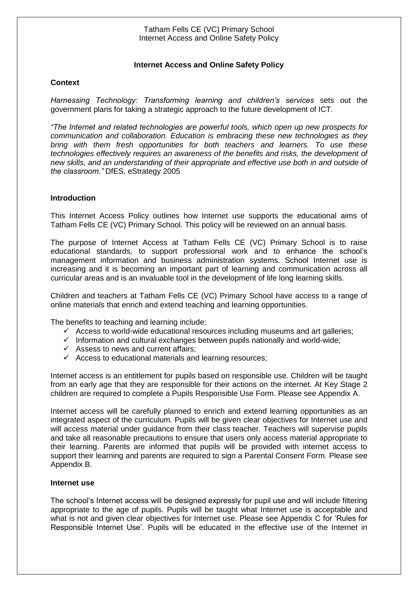## **Internet Access and Online Safety Policy**

## **Context**

*Harnessing Technology: Transforming learning and children's services* sets out the government plans for taking a strategic approach to the future development of ICT.

*"The Internet and related technologies are powerful tools, which open up new prospects for communication and collaboration. Education is embracing these new technologies as they bring with them fresh opportunities for both teachers and learners. To use these technologies effectively requires an awareness of the benefits and risks, the development of new skills, and an understanding of their appropriate and effective use both in and outside of the classroom."* DfES, eStrategy 2005

### **Introduction**

This Internet Access Policy outlines how Internet use supports the educational aims of Tatham Fells CE (VC) Primary School. This policy will be reviewed on an annual basis.

The purpose of Internet Access at Tatham Fells CE (VC) Primary School is to raise educational standards, to support professional work and to enhance the school's management information and business administration systems. School Internet use is increasing and it is becoming an important part of learning and communication across all curricular areas and is an invaluable tool in the development of life long learning skills.

Children and teachers at Tatham Fells CE (VC) Primary School have access to a range of online materials that enrich and extend teaching and learning opportunities.

The benefits to teaching and learning include:

- $\checkmark$  Access to world-wide educational resources including museums and art galleries;
- $\checkmark$  Information and cultural exchanges between pupils nationally and world-wide;
- $\checkmark$  Assess to news and current affairs:
- $\checkmark$  Access to educational materials and learning resources;

Internet access is an entitlement for pupils based on responsible use. Children will be taught from an early age that they are responsible for their actions on the internet. At Key Stage 2 children are required to complete a Pupils Responsible Use Form. Please see Appendix A.

Internet access will be carefully planned to enrich and extend learning opportunities as an integrated aspect of the curriculum. Pupils will be given clear objectives for Internet use and will access material under guidance from their class teacher. Teachers will supervise pupils and take all reasonable precautions to ensure that users only access material appropriate to their learning. Parents are informed that pupils will be provided with internet access to support their learning and parents are required to sign a Parental Consent Form. Please see Appendix B.

### **Internet use**

The school's Internet access will be designed expressly for pupil use and will include filtering appropriate to the age of pupils. Pupils will be taught what Internet use is acceptable and what is not and given clear objectives for Internet use. Please see Appendix C for 'Rules for Responsible Internet Use'. Pupils will be educated in the effective use of the Internet in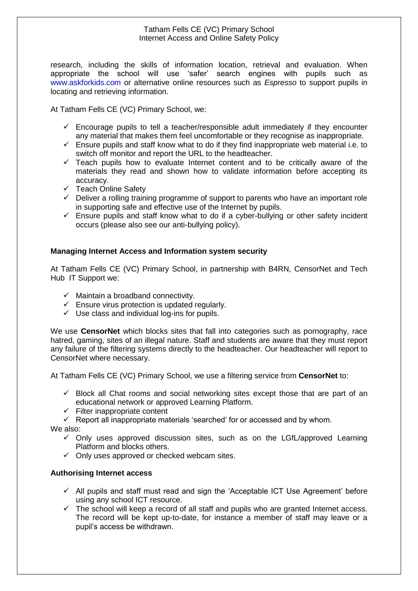research, including the skills of information location, retrieval and evaluation. When appropriate the school will use 'safer' search engines with pupils such as www.askforkids.com or alternative online resources such as *Espresso* to support pupils in locating and retrieving information.

At Tatham Fells CE (VC) Primary School, we:

- $\checkmark$  Encourage pupils to tell a teacher/responsible adult immediately if they encounter any material that makes them feel uncomfortable or they recognise as inappropriate.
- $\checkmark$  Ensure pupils and staff know what to do if they find inappropriate web material i.e. to switch off monitor and report the URL to the headteacher.
- $\checkmark$  Teach pupils how to evaluate Internet content and to be critically aware of the materials they read and shown how to validate information before accepting its accuracy.
- $\checkmark$  Teach Online Safety
- $\checkmark$  Deliver a rolling training programme of support to parents who have an important role in supporting safe and effective use of the Internet by pupils.
- $\checkmark$  Ensure pupils and staff know what to do if a cyber-bullying or other safety incident occurs (please also see our anti-bullying policy).

# **Managing Internet Access and Information system security**

At Tatham Fells CE (VC) Primary School, in partnership with B4RN, CensorNet and Tech Hub IT Support we:

- $\checkmark$  Maintain a broadband connectivity.
- $\checkmark$  Ensure virus protection is updated regularly.
- $\checkmark$  Use class and individual log-ins for pupils.

We use **CensorNet** which blocks sites that fall into categories such as pornography, race hatred, gaming, sites of an illegal nature. Staff and students are aware that they must report any failure of the filtering systems directly to the headteacher. Our headteacher will report to CensorNet where necessary.

At Tatham Fells CE (VC) Primary School, we use a filtering service from **CensorNet** to:

- $\checkmark$  Block all Chat rooms and social networking sites except those that are part of an educational network or approved Learning Platform.
- $\checkmark$  Filter inappropriate content

 $\checkmark$  Report all inappropriate materials 'searched' for or accessed and by whom.

We also:

- $\checkmark$  Only uses approved discussion sites, such as on the LGfL/approved Learning Platform and blocks others.
- $\checkmark$  Only uses approved or checked webcam sites.

# **Authorising Internet access**

- $\checkmark$  All pupils and staff must read and sign the 'Acceptable ICT Use Agreement' before using any school ICT resource.
- The school will keep a record of all staff and pupils who are granted Internet access. The record will be kept up-to-date, for instance a member of staff may leave or a pupil's access be withdrawn.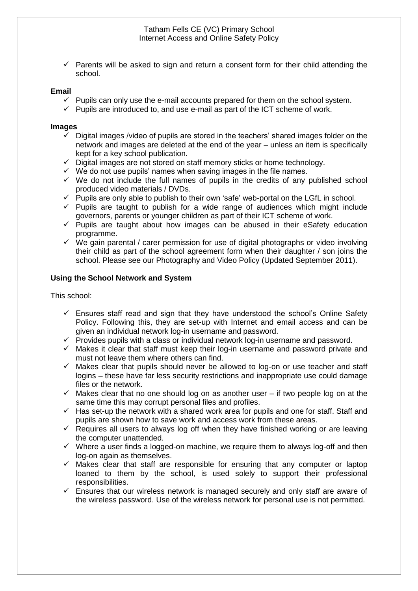$\checkmark$  Parents will be asked to sign and return a consent form for their child attending the school.

### **Email**

- $\checkmark$  Pupils can only use the e-mail accounts prepared for them on the school system.
- $\checkmark$  Pupils are introduced to, and use e-mail as part of the ICT scheme of work.

#### **Images**

- $\checkmark$  Digital images /video of pupils are stored in the teachers' shared images folder on the network and images are deleted at the end of the year – unless an item is specifically kept for a key school publication.
- $\checkmark$  Digital images are not stored on staff memory sticks or home technology.
- $\checkmark$  We do not use pupils' names when saving images in the file names.
- $\checkmark$  We do not include the full names of pupils in the credits of any published school produced video materials / DVDs.
- $\checkmark$  Pupils are only able to publish to their own 'safe' web-portal on the LGfL in school.
- $\checkmark$  Pupils are taught to publish for a wide range of audiences which might include governors, parents or younger children as part of their ICT scheme of work.
- $\checkmark$  Pupils are taught about how images can be abused in their eSafety education programme.
- $\checkmark$  We gain parental / carer permission for use of digital photographs or video involving their child as part of the school agreement form when their daughter / son joins the school. Please see our Photography and Video Policy (Updated September 2011).

### **Using the School Network and System**

This school:

- $\checkmark$  Ensures staff read and sign that they have understood the school's Online Safety Policy. Following this, they are set-up with Internet and email access and can be given an individual network log-in username and password.
- $\checkmark$  Provides pupils with a class or individual network log-in username and password.
- $\checkmark$  Makes it clear that staff must keep their log-in username and password private and must not leave them where others can find.
- $\checkmark$  Makes clear that pupils should never be allowed to log-on or use teacher and staff logins – these have far less security restrictions and inappropriate use could damage files or the network.
- $\checkmark$  Makes clear that no one should log on as another user if two people log on at the same time this may corrupt personal files and profiles.
- $\checkmark$  Has set-up the network with a shared work area for pupils and one for staff. Staff and pupils are shown how to save work and access work from these areas.
- $\checkmark$  Requires all users to always log off when they have finished working or are leaving the computer unattended.
- $\checkmark$  Where a user finds a logged-on machine, we require them to always log-off and then log-on again as themselves.
- $\checkmark$  Makes clear that staff are responsible for ensuring that any computer or laptop loaned to them by the school, is used solely to support their professional responsibilities.
- $\checkmark$  Ensures that our wireless network is managed securely and only staff are aware of the wireless password. Use of the wireless network for personal use is not permitted.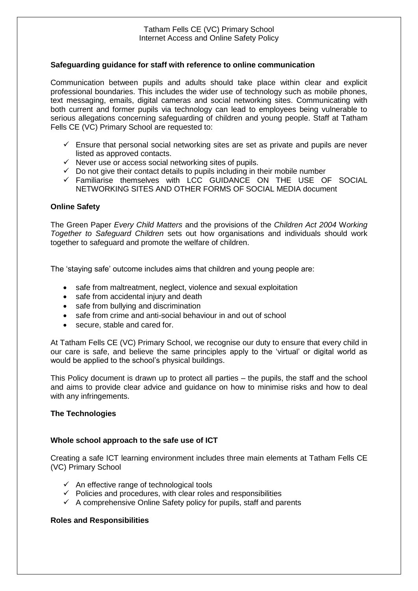### **Safeguarding guidance for staff with reference to online communication**

Communication between pupils and adults should take place within clear and explicit professional boundaries. This includes the wider use of technology such as mobile phones, text messaging, emails, digital cameras and social networking sites. Communicating with both current and former pupils via technology can lead to employees being vulnerable to serious allegations concerning safeguarding of children and young people. Staff at Tatham Fells CE (VC) Primary School are requested to:

- $\checkmark$  Ensure that personal social networking sites are set as private and pupils are never listed as approved contacts.
- $\checkmark$  Never use or access social networking sites of pupils.
- $\checkmark$  Do not give their contact details to pupils including in their mobile number
- $\checkmark$  Familiarise themselves with LCC GUIDANCE ON THE USE OF SOCIAL NETWORKING SITES AND OTHER FORMS OF SOCIAL MEDIA document

### **Online Safety**

The Green Paper *Every Child Matters* and the provisions of the *Children Act 2004* W*orking Together to Safeguard Children* sets out how organisations and individuals should work together to safeguard and promote the welfare of children.

The 'staying safe' outcome includes aims that children and young people are:

- safe from maltreatment, neglect, violence and sexual exploitation
- safe from accidental injury and death
- safe from bullying and discrimination
- safe from crime and anti-social behaviour in and out of school
- secure, stable and cared for.

At Tatham Fells CE (VC) Primary School, we recognise our duty to ensure that every child in our care is safe, and believe the same principles apply to the 'virtual' or digital world as would be applied to the school's physical buildings.

This Policy document is drawn up to protect all parties – the pupils, the staff and the school and aims to provide clear advice and guidance on how to minimise risks and how to deal with any infringements.

### **The Technologies**

# **Whole school approach to the safe use of ICT**

Creating a safe ICT learning environment includes three main elements at Tatham Fells CE (VC) Primary School

- $\checkmark$  An effective range of technological tools
- $\checkmark$  Policies and procedures, with clear roles and responsibilities
- $\checkmark$  A comprehensive Online Safety policy for pupils, staff and parents

### **Roles and Responsibilities**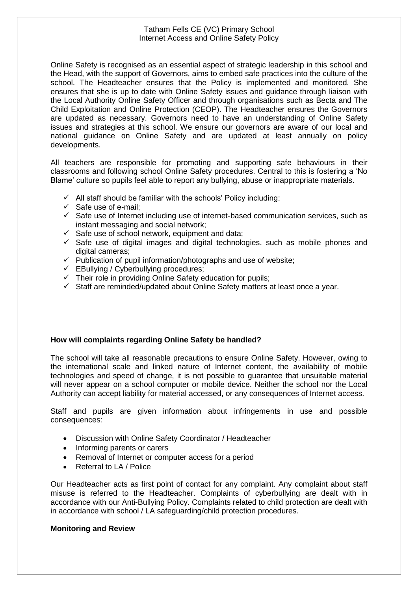Online Safety is recognised as an essential aspect of strategic leadership in this school and the Head, with the support of Governors, aims to embed safe practices into the culture of the school. The Headteacher ensures that the Policy is implemented and monitored. She ensures that she is up to date with Online Safety issues and guidance through liaison with the Local Authority Online Safety Officer and through organisations such as Becta and The Child Exploitation and Online Protection (CEOP). The Headteacher ensures the Governors are updated as necessary. Governors need to have an understanding of Online Safety issues and strategies at this school. We ensure our governors are aware of our local and national guidance on Online Safety and are updated at least annually on policy developments.

All teachers are responsible for promoting and supporting safe behaviours in their classrooms and following school Online Safety procedures. Central to this is fostering a 'No Blame' culture so pupils feel able to report any bullying, abuse or inappropriate materials.

- $\checkmark$  All staff should be familiar with the schools' Policy including:
- $\checkmark$  Safe use of e-mail:
- $\checkmark$  Safe use of Internet including use of internet-based communication services, such as instant messaging and social network;
- $\checkmark$  Safe use of school network, equipment and data;
- $\checkmark$  Safe use of digital images and digital technologies, such as mobile phones and digital cameras:
- $\checkmark$  Publication of pupil information/photographs and use of website;
- $\checkmark$  EBullying / Cyberbullying procedures;
- $\checkmark$  Their role in providing Online Safety education for pupils;
- $\checkmark$  Staff are reminded/updated about Online Safety matters at least once a year.

# **How will complaints regarding Online Safety be handled?**

The school will take all reasonable precautions to ensure Online Safety. However, owing to the international scale and linked nature of Internet content, the availability of mobile technologies and speed of change, it is not possible to guarantee that unsuitable material will never appear on a school computer or mobile device. Neither the school nor the Local Authority can accept liability for material accessed, or any consequences of Internet access.

Staff and pupils are given information about infringements in use and possible consequences:

- Discussion with Online Safety Coordinator / Headteacher
- Informing parents or carers
- Removal of Internet or computer access for a period
- Referral to LA / Police

Our Headteacher acts as first point of contact for any complaint. Any complaint about staff misuse is referred to the Headteacher. Complaints of cyberbullying are dealt with in accordance with our Anti-Bullying Policy. Complaints related to child protection are dealt with in accordance with school / LA safeguarding/child protection procedures.

### **Monitoring and Review**